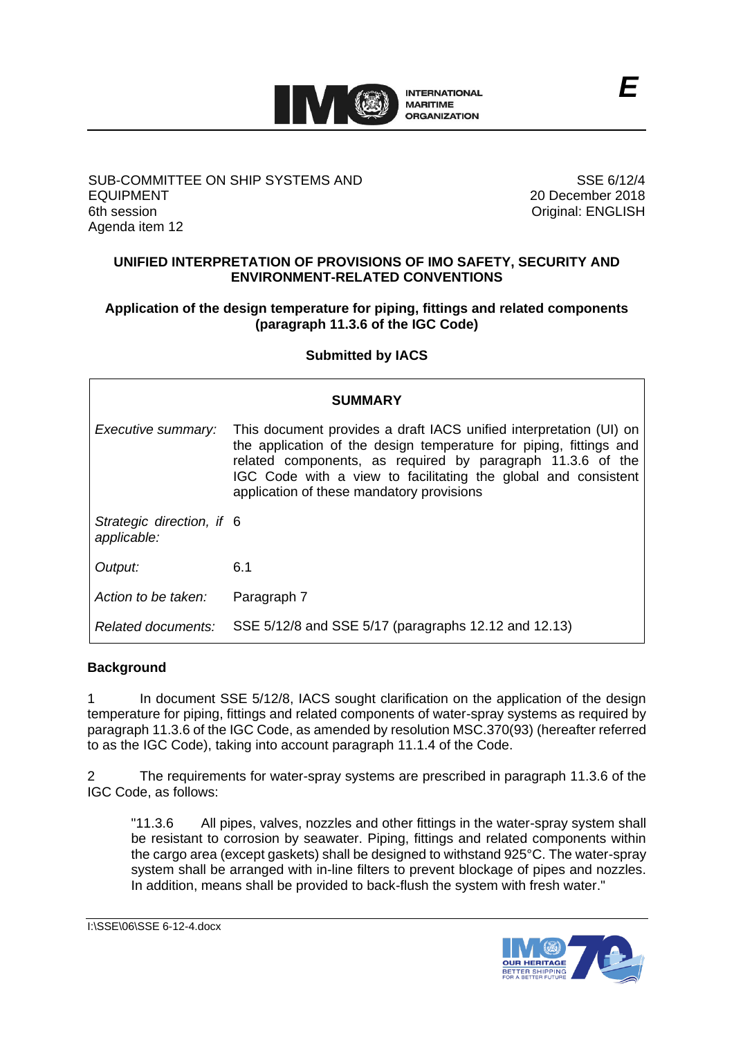

#### SUB-COMMITTEE ON SHIP SYSTEMS AND EQUIPMENT 6th session Agenda item 12

SSE 6/12/4 20 December 2018 Original: ENGLISH

# **UNIFIED INTERPRETATION OF PROVISIONS OF IMO SAFETY, SECURITY AND ENVIRONMENT-RELATED CONVENTIONS**

### **Application of the design temperature for piping, fittings and related components (paragraph 11.3.6 of the IGC Code)**

# **Submitted by IACS**

| SUMMARY                                  |                                                                                                                                                                                                                                                                                                                       |
|------------------------------------------|-----------------------------------------------------------------------------------------------------------------------------------------------------------------------------------------------------------------------------------------------------------------------------------------------------------------------|
| Executive summary:                       | This document provides a draft IACS unified interpretation (UI) on<br>the application of the design temperature for piping, fittings and<br>related components, as required by paragraph 11.3.6 of the<br>IGC Code with a view to facilitating the global and consistent<br>application of these mandatory provisions |
| Strategic direction, if 6<br>applicable: |                                                                                                                                                                                                                                                                                                                       |
| Output:                                  | 6.1                                                                                                                                                                                                                                                                                                                   |
| Action to be taken:                      | Paragraph 7                                                                                                                                                                                                                                                                                                           |
| Related documents:                       | SSE 5/12/8 and SSE 5/17 (paragraphs 12.12 and 12.13)                                                                                                                                                                                                                                                                  |

# **Background**

1 In document SSE 5/12/8, IACS sought clarification on the application of the design temperature for piping, fittings and related components of water-spray systems as required by paragraph 11.3.6 of the IGC Code, as amended by resolution MSC.370(93) (hereafter referred to as the IGC Code), taking into account paragraph 11.1.4 of the Code.

2 The requirements for water-spray systems are prescribed in paragraph 11.3.6 of the IGC Code, as follows:

"11.3.6 All pipes, valves, nozzles and other fittings in the water-spray system shall be resistant to corrosion by seawater. Piping, fittings and related components within the cargo area (except gaskets) shall be designed to withstand 925°C. The water-spray system shall be arranged with in-line filters to prevent blockage of pipes and nozzles. In addition, means shall be provided to back-flush the system with fresh water."

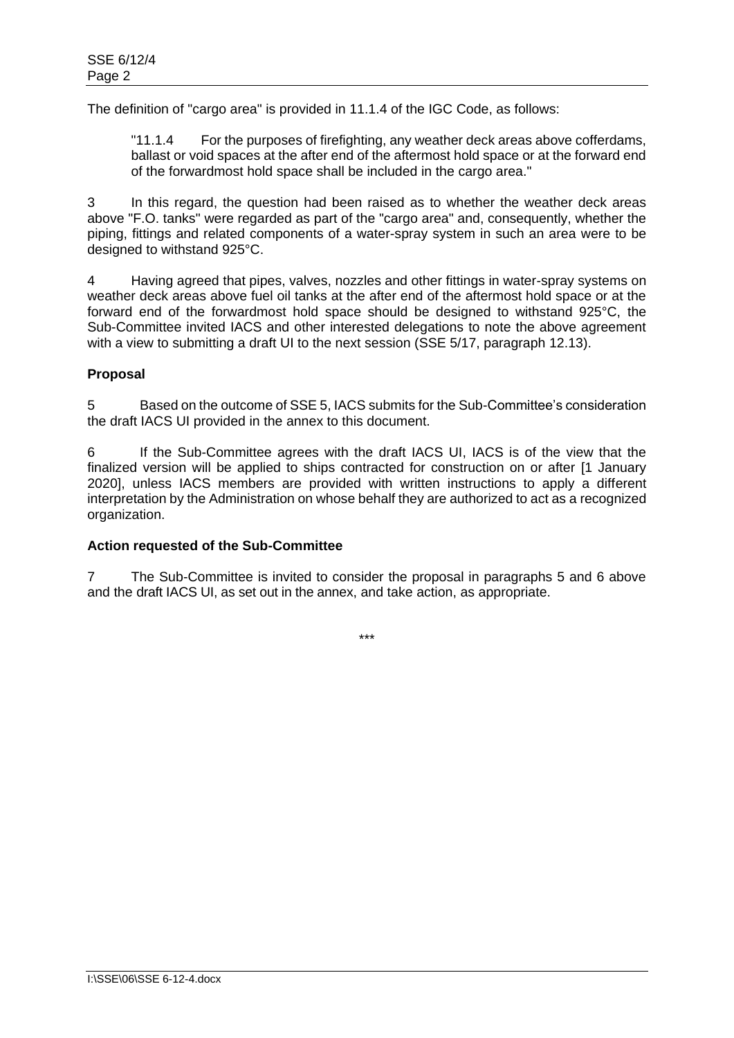The definition of "cargo area" is provided in 11.1.4 of the IGC Code, as follows:

"11.1.4 For the purposes of firefighting, any weather deck areas above cofferdams, ballast or void spaces at the after end of the aftermost hold space or at the forward end of the forwardmost hold space shall be included in the cargo area."

3 In this regard, the question had been raised as to whether the weather deck areas above "F.O. tanks" were regarded as part of the "cargo area" and, consequently, whether the piping, fittings and related components of a water-spray system in such an area were to be designed to withstand 925°C.

4 Having agreed that pipes, valves, nozzles and other fittings in water-spray systems on weather deck areas above fuel oil tanks at the after end of the aftermost hold space or at the forward end of the forwardmost hold space should be designed to withstand 925°C, the Sub-Committee invited IACS and other interested delegations to note the above agreement with a view to submitting a draft UI to the next session (SSE 5/17, paragraph 12.13).

#### **Proposal**

5 Based on the outcome of SSE 5, IACS submits for the Sub-Committee's consideration the draft IACS UI provided in the annex to this document.

6 If the Sub-Committee agrees with the draft IACS UI, IACS is of the view that the finalized version will be applied to ships contracted for construction on or after [1 January 2020], unless IACS members are provided with written instructions to apply a different interpretation by the Administration on whose behalf they are authorized to act as a recognized organization.

#### **Action requested of the Sub-Committee**

7 The Sub-Committee is invited to consider the proposal in paragraphs 5 and 6 above and the draft IACS UI, as set out in the annex, and take action, as appropriate.

\*\*\*